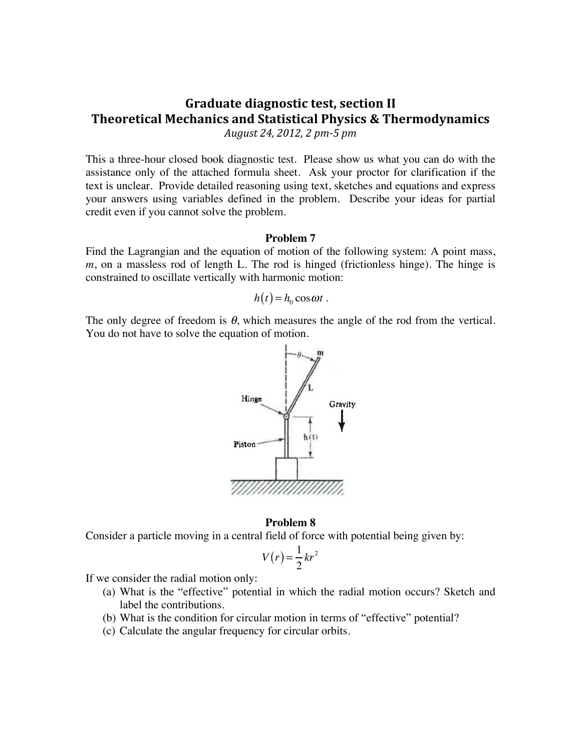# **Graduate diagnostic test, section II Theoretical Mechanics and Statistical Physics & Thermodynamics** *August&24,&2012,&2&pm/5&pm&*

This a three-hour closed book diagnostic test. Please show us what you can do with the assistance only of the attached formula sheet. Ask your proctor for clarification if the text is unclear. Provide detailed reasoning using text, sketches and equations and express your answers using variables defined in the problem. Describe your ideas for partial credit even if you cannot solve the problem.

#### **Problem 7**

Find the Lagrangian and the equation of motion of the following system: A point mass, *m*, on a massless rod of length L. The rod is hinged (frictionless hinge). The hinge is constrained to oscillate vertically with harmonic motion:

$$
h(t) = h_0 \cos \omega t \; .
$$

The only degree of freedom is  $\theta$ , which measures the angle of the rod from the vertical. You do not have to solve the equation of motion.



#### **Problem 8**

Consider a particle moving in a central field of force with potential being given by:

$$
V(r) = \frac{1}{2}kr^2
$$

If we consider the radial motion only:

- (a) What is the "effective" potential in which the radial motion occurs? Sketch and label the contributions.
- (b) What is the condition for circular motion in terms of "effective" potential?
- (c) Calculate the angular frequency for circular orbits.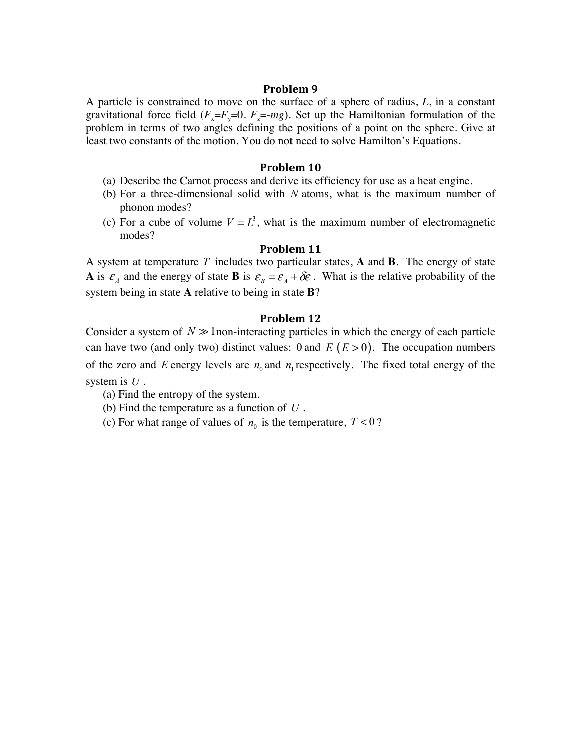## Problem 9

A particle is constrained to move on the surface of a sphere of radius, *L*, in a constant gravitational force field  $(F_x = F_y = 0, F_z = mg)$ . Set up the Hamiltonian formulation of the problem in terms of two angles defining the positions of a point on the sphere. Give at least two constants of the motion. You do not need to solve Hamilton's Equations.

### **Problem 10**

- (a) Describe the Carnot process and derive its efficiency for use as a heat engine.
- (b) For a three-dimensional solid with *N* atoms, what is the maximum number of phonon modes?
- (c) For a cube of volume  $V = L^3$ , what is the maximum number of electromagnetic modes?

## **Problem 11**

A system at temperature *T* includes two particular states, **A** and **B**. The energy of state **A** is  $\varepsilon_A$  and the energy of state **B** is  $\varepsilon_B = \varepsilon_A + \delta \varepsilon$ . What is the relative probability of the system being in state **A** relative to being in state **B**?

### **Problem 12**

Consider a system of  $N \gg 1$  non-interacting particles in which the energy of each particle can have two (and only two) distinct values: 0 and  $E(E>0)$ . The occupation numbers of the zero and *E* energy levels are  $n_0$  and  $n_1$  respectively. The fixed total energy of the system is *U* .

- (a) Find the entropy of the system.
- (b) Find the temperature as a function of *U* .
- (c) For what range of values of  $n_0$  is the temperature,  $T < 0$ ?